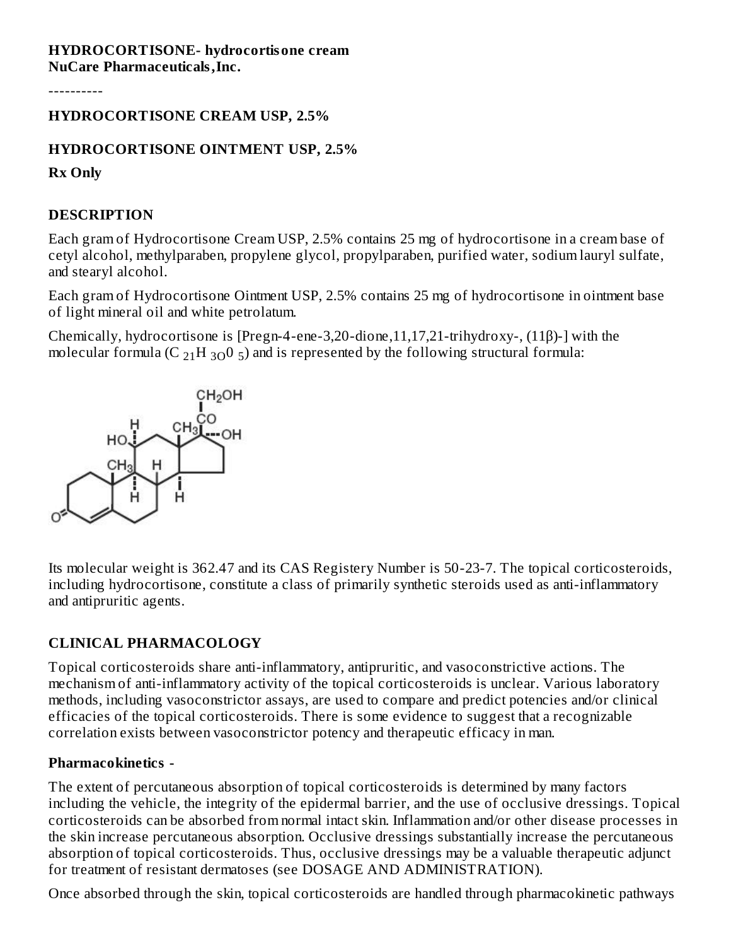#### **HYDROCORTISONE- hydrocortisone cream NuCare Pharmaceuticals,Inc.**

----------

#### **HYDROCORTISONE CREAM USP, 2.5%**

#### **HYDROCORTISONE OINTMENT USP, 2.5%**

**Rx Only**

#### **DESCRIPTION**

Each gram of Hydrocortisone Cream USP, 2.5% contains 25 mg of hydrocortisone in a cream base of cetyl alcohol, methylparaben, propylene glycol, propylparaben, purified water, sodium lauryl sulfate, and stearyl alcohol.

Each gram of Hydrocortisone Ointment USP, 2.5% contains 25 mg of hydrocortisone in ointment base of light mineral oil and white petrolatum.

Chemically, hydrocortisone is [Pregn-4-ene-3,20-dione,11,17,21-trihydroxy-, (11β)-] with the molecular formula (C  $_{21}$ H  $_{3O}$ 0  $_{5}$ ) and is represented by the following structural formula:



Its molecular weight is 362.47 and its CAS Registery Number is 50-23-7. The topical corticosteroids, including hydrocortisone, constitute a class of primarily synthetic steroids used as anti-inflammatory and antipruritic agents.

## **CLINICAL PHARMACOLOGY**

Topical corticosteroids share anti-inflammatory, antipruritic, and vasoconstrictive actions. The mechanism of anti-inflammatory activity of the topical corticosteroids is unclear. Various laboratory methods, including vasoconstrictor assays, are used to compare and predict potencies and/or clinical efficacies of the topical corticosteroids. There is some evidence to suggest that a recognizable correlation exists between vasoconstrictor potency and therapeutic efficacy in man.

#### **Pharmacokinetics -**

The extent of percutaneous absorption of topical corticosteroids is determined by many factors including the vehicle, the integrity of the epidermal barrier, and the use of occlusive dressings. Topical corticosteroids can be absorbed from normal intact skin. Inflammation and/or other disease processes in the skin increase percutaneous absorption. Occlusive dressings substantially increase the percutaneous absorption of topical corticosteroids. Thus, occlusive dressings may be a valuable therapeutic adjunct for treatment of resistant dermatoses (see DOSAGE AND ADMINISTRATION).

Once absorbed through the skin, topical corticosteroids are handled through pharmacokinetic pathways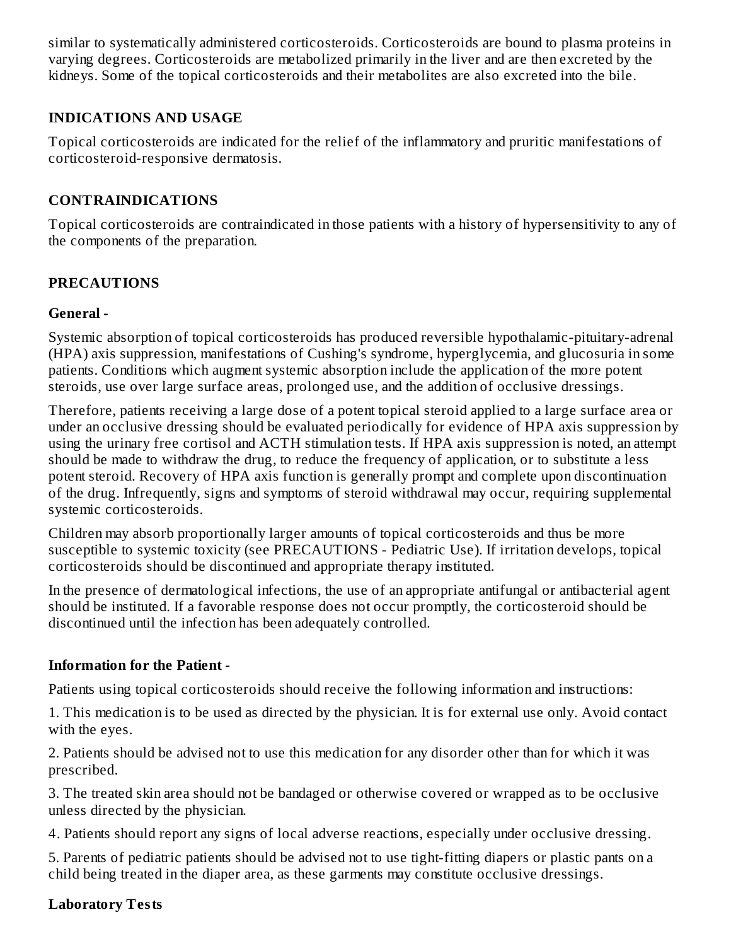similar to systematically administered corticosteroids. Corticosteroids are bound to plasma proteins in varying degrees. Corticosteroids are metabolized primarily in the liver and are then excreted by the kidneys. Some of the topical corticosteroids and their metabolites are also excreted into the bile.

# **INDICATIONS AND USAGE**

Topical corticosteroids are indicated for the relief of the inflammatory and pruritic manifestations of corticosteroid-responsive dermatosis.

# **CONTRAINDICATIONS**

Topical corticosteroids are contraindicated in those patients with a history of hypersensitivity to any of the components of the preparation.

# **PRECAUTIONS**

# **General -**

Systemic absorption of topical corticosteroids has produced reversible hypothalamic-pituitary-adrenal (HPA) axis suppression, manifestations of Cushing's syndrome, hyperglycemia, and glucosuria in some patients. Conditions which augment systemic absorption include the application of the more potent steroids, use over large surface areas, prolonged use, and the addition of occlusive dressings.

Therefore, patients receiving a large dose of a potent topical steroid applied to a large surface area or under an occlusive dressing should be evaluated periodically for evidence of HPA axis suppression by using the urinary free cortisol and ACTH stimulation tests. If HPA axis suppression is noted, an attempt should be made to withdraw the drug, to reduce the frequency of application, or to substitute a less potent steroid. Recovery of HPA axis function is generally prompt and complete upon discontinuation of the drug. Infrequently, signs and symptoms of steroid withdrawal may occur, requiring supplemental systemic corticosteroids.

Children may absorb proportionally larger amounts of topical corticosteroids and thus be more susceptible to systemic toxicity (see PRECAUTIONS - Pediatric Use). If irritation develops, topical corticosteroids should be discontinued and appropriate therapy instituted.

In the presence of dermatological infections, the use of an appropriate antifungal or antibacterial agent should be instituted. If a favorable response does not occur promptly, the corticosteroid should be discontinued until the infection has been adequately controlled.

## **Information for the Patient -**

Patients using topical corticosteroids should receive the following information and instructions:

1. This medication is to be used as directed by the physician. It is for external use only. Avoid contact with the eyes.

2. Patients should be advised not to use this medication for any disorder other than for which it was prescribed.

3. The treated skin area should not be bandaged or otherwise covered or wrapped as to be occlusive unless directed by the physician.

4. Patients should report any signs of local adverse reactions, especially under occlusive dressing.

5. Parents of pediatric patients should be advised not to use tight-fitting diapers or plastic pants on a child being treated in the diaper area, as these garments may constitute occlusive dressings.

## **Laboratory Tests**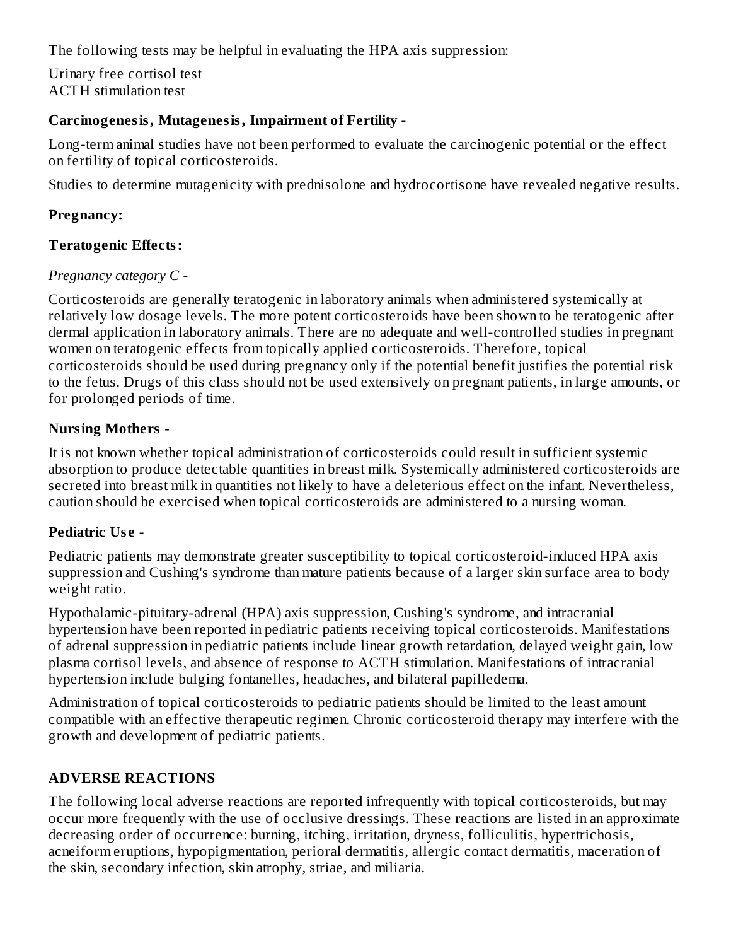The following tests may be helpful in evaluating the HPA axis suppression:

Urinary free cortisol test ACTH stimulation test

## **Carcinogenesis, Mutagenesis, Impairment of Fertility -**

Long-term animal studies have not been performed to evaluate the carcinogenic potential or the effect on fertility of topical corticosteroids.

Studies to determine mutagenicity with prednisolone and hydrocortisone have revealed negative results.

# **Pregnancy:**

# **Teratogenic Effects:**

# *Pregnancy category C -*

Corticosteroids are generally teratogenic in laboratory animals when administered systemically at relatively low dosage levels. The more potent corticosteroids have been shown to be teratogenic after dermal application in laboratory animals. There are no adequate and well-controlled studies in pregnant women on teratogenic effects from topically applied corticosteroids. Therefore, topical corticosteroids should be used during pregnancy only if the potential benefit justifies the potential risk to the fetus. Drugs of this class should not be used extensively on pregnant patients, in large amounts, or for prolonged periods of time.

# **Nursing Mothers -**

It is not known whether topical administration of corticosteroids could result in sufficient systemic absorption to produce detectable quantities in breast milk. Systemically administered corticosteroids are secreted into breast milk in quantities not likely to have a deleterious effect on the infant. Nevertheless, caution should be exercised when topical corticosteroids are administered to a nursing woman.

# **Pediatric Us e -**

Pediatric patients may demonstrate greater susceptibility to topical corticosteroid-induced HPA axis suppression and Cushing's syndrome than mature patients because of a larger skin surface area to body weight ratio.

Hypothalamic-pituitary-adrenal (HPA) axis suppression, Cushing's syndrome, and intracranial hypertension have been reported in pediatric patients receiving topical corticosteroids. Manifestations of adrenal suppression in pediatric patients include linear growth retardation, delayed weight gain, low plasma cortisol levels, and absence of response to ACTH stimulation. Manifestations of intracranial hypertension include bulging fontanelles, headaches, and bilateral papilledema.

Administration of topical corticosteroids to pediatric patients should be limited to the least amount compatible with an effective therapeutic regimen. Chronic corticosteroid therapy may interfere with the growth and development of pediatric patients.

# **ADVERSE REACTIONS**

The following local adverse reactions are reported infrequently with topical corticosteroids, but may occur more frequently with the use of occlusive dressings. These reactions are listed in an approximate decreasing order of occurrence: burning, itching, irritation, dryness, folliculitis, hypertrichosis, acneiform eruptions, hypopigmentation, perioral dermatitis, allergic contact dermatitis, maceration of the skin, secondary infection, skin atrophy, striae, and miliaria.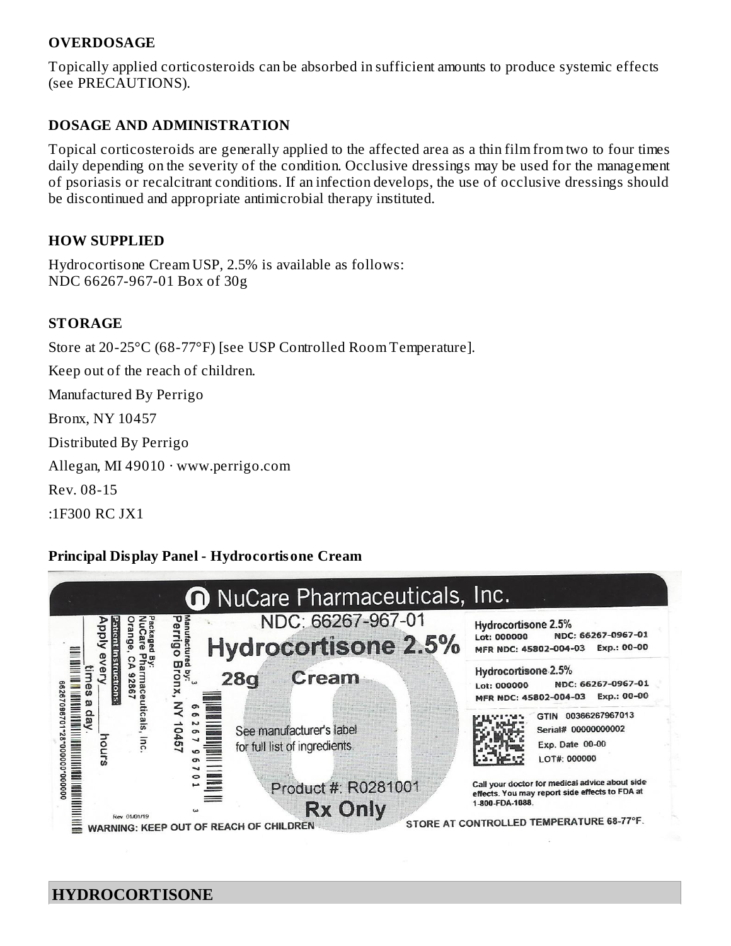## **OVERDOSAGE**

Topically applied corticosteroids can be absorbed in sufficient amounts to produce systemic effects (see PRECAUTIONS).

#### **DOSAGE AND ADMINISTRATION**

Topical corticosteroids are generally applied to the affected area as a thin film from two to four times daily depending on the severity of the condition. Occlusive dressings may be used for the management of psoriasis or recalcitrant conditions. If an infection develops, the use of occlusive dressings should be discontinued and appropriate antimicrobial therapy instituted.

#### **HOW SUPPLIED**

Hydrocortisone Cream USP, 2.5% is available as follows: NDC 66267-967-01 Box of 30g

#### **STORAGE**

Store at 20-25°C (68-77°F) [see USP Controlled Room Temperature].

Keep out of the reach of children.

Manufactured By Perrigo

Bronx, NY 10457

Distributed By Perrigo

Allegan, MI 49010 · www.perrigo.com

Rev. 08-15

:1F300 RC JX1

## **Principal Display Panel - Hydrocortisone Cream**



**HYDROCORTISONE**